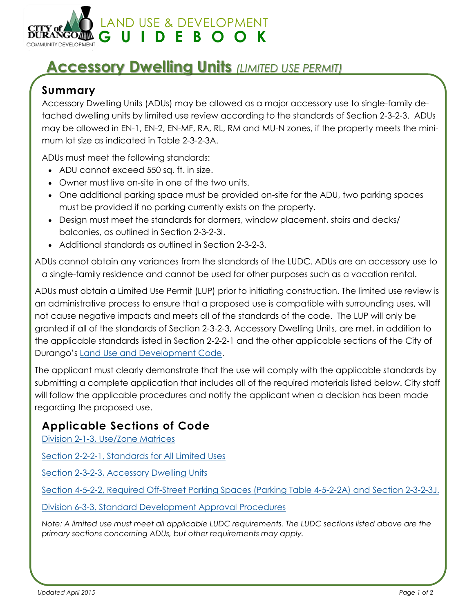

# **Accessory Dwelling Units** *(LIMITED USE PERMIT)*

#### **Summary**

Accessory Dwelling Units (ADUs) may be allowed as a major accessory use to single-family detached dwelling units by limited use review according to the standards of Section 2-3-2-3. ADUs may be allowed in EN-1, EN-2, EN-MF, RA, RL, RM and MU-N zones, if the property meets the minimum lot size as indicated in Table 2-3-2-3A.

ADUs must meet the following standards:

- ADU cannot exceed 550 sq. ft. in size.
- Owner must live on-site in one of the two units.
- One additional parking space must be provided on-site for the ADU, two parking spaces must be provided if no parking currently exists on the property.
- Design must meet the standards for dormers, window placement, stairs and decks/ balconies, as outlined in Section 2-3-2-3I.
- Additional standards as outlined in Section 2-3-2-3.

ADUs cannot obtain any variances from the standards of the LUDC. ADUs are an accessory use to a single-family residence and cannot be used for other purposes such as a vacation rental.

ADUs must obtain a Limited Use Permit (LUP) prior to initiating construction. The limited use review is an administrative process to ensure that a proposed use is compatible with surrounding uses, will not cause negative impacts and meets all of the standards of the code. The LUP will only be granted if all of the standards of Section 2-3-2-3, Accessory Dwelling Units, are met, in addition to the applicable standards listed in Section 2-2-2-1 and the other applicable sections of the City of Durango's Land Use and Development Code.

The applicant must clearly demonstrate that the use will comply with the applicable standards by submitting a complete application that includes all of the required materials listed below. City staff will follow the applicable procedures and notify the applicant when a decision has been made regarding the proposed use.

#### **Applicable Sections of Code**

Division 2-1-3, Use/Zone Matrices

Section 2-2-2-1, Standards for All Limited Uses

Section 2-3-2-3, Accessory Dwelling Units

Section 4-5-2-2, Required Off-Street Parking Spaces (Parking Table 4-5-2-2A) and Section 2-3-2-3J.

Division 6-3-3, Standard Development Approval Procedures

*Note: A limited use must meet all applicable LUDC requirements. The LUDC sections listed above are the primary sections concerning ADUs, but other requirements may apply.*